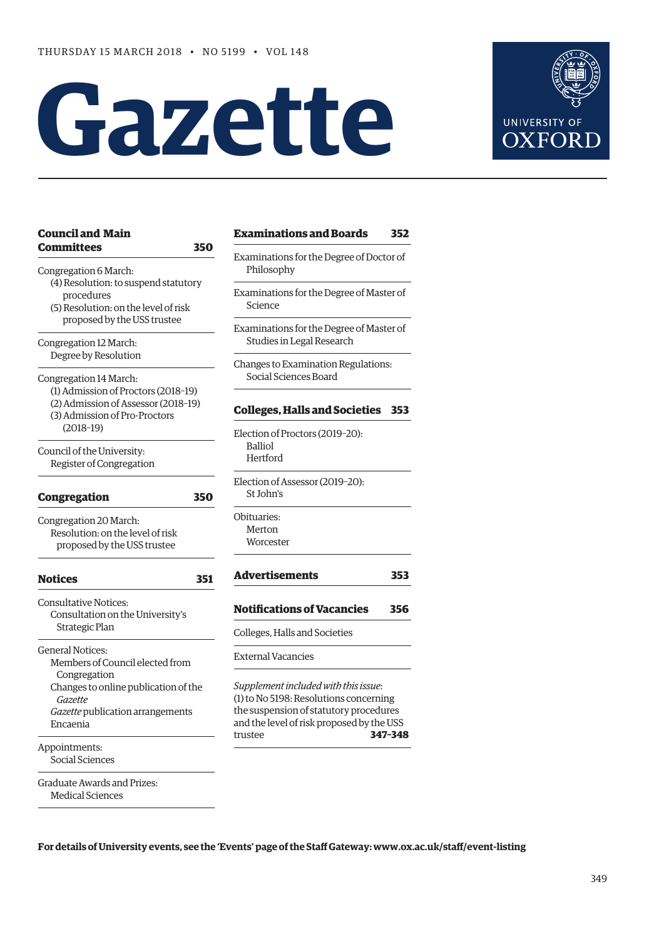# **Gazette**



| <b>Council and Main</b>                                                                                                                                                                                  | <b>Examinations and Boards</b>                                                                                                                                        | 352 |
|----------------------------------------------------------------------------------------------------------------------------------------------------------------------------------------------------------|-----------------------------------------------------------------------------------------------------------------------------------------------------------------------|-----|
| <b>Committees</b><br>350<br>Congregation 6 March:<br>(4) Resolution: to suspend statutory<br>procedures<br>(5) Resolution: on the level of risk<br>proposed by the USS trustee<br>Congregation 12 March: | Examinations for the Degree of Doctor of<br>Philosophy                                                                                                                |     |
|                                                                                                                                                                                                          | Examinations for the Degree of Master of<br>Science                                                                                                                   |     |
|                                                                                                                                                                                                          | Examinations for the Degree of Master of<br>Studies in Legal Research                                                                                                 |     |
| Degree by Resolution<br>Congregation 14 March:<br>(1) Admission of Proctors (2018-19)<br>(2) Admission of Assessor (2018-19)<br>(3) Admission of Pro-Proctors                                            | Changes to Examination Regulations:<br>Social Sciences Board                                                                                                          |     |
|                                                                                                                                                                                                          | <b>Colleges, Halls and Societies</b>                                                                                                                                  | 353 |
| $(2018-19)$<br>Council of the University:<br>Register of Congregation                                                                                                                                    | Election of Proctors (2019-20):<br><b>Balliol</b><br>Hertford                                                                                                         |     |
| <b>Congregation</b><br>350                                                                                                                                                                               | Election of Assessor (2019-20):<br>St John's                                                                                                                          |     |
| Congregation 20 March:<br>Resolution: on the level of risk<br>proposed by the USS trustee                                                                                                                | Obituaries:<br>Merton<br>Worcester                                                                                                                                    |     |
| <b>Notices</b><br>351                                                                                                                                                                                    | <b>Advertisements</b>                                                                                                                                                 | 353 |
| <b>Consultative Notices:</b><br>Consultation on the University's<br>Strategic Plan                                                                                                                       | <b>Notifications of Vacancies</b>                                                                                                                                     | 356 |
|                                                                                                                                                                                                          | Colleges, Halls and Societies                                                                                                                                         |     |
| <b>General Notices:</b><br>Members of Council elected from                                                                                                                                               | <b>External Vacancies</b>                                                                                                                                             |     |
| Congregation<br>Changes to online publication of the<br>Gazette<br>Gazette publication arrangements<br>Encaenia                                                                                          | Supplement included with this issue:<br>(1) to No 5198: Resolutions concerning<br>the suspension of statutory procedures<br>and the level of risk proposed by the USS |     |
| Appointments:<br>Social Sciences                                                                                                                                                                         | 347-348<br>trustee                                                                                                                                                    |     |
| <b>Graduate Awards and Prizes:</b><br><b>Medical Sciences</b>                                                                                                                                            |                                                                                                                                                                       |     |

**For details of University events, see the 'Events' page of the Staff Gateway: [www.ox.ac.uk/staff/event-listing](http://www.ox.ac.uk/staff/event-listing)**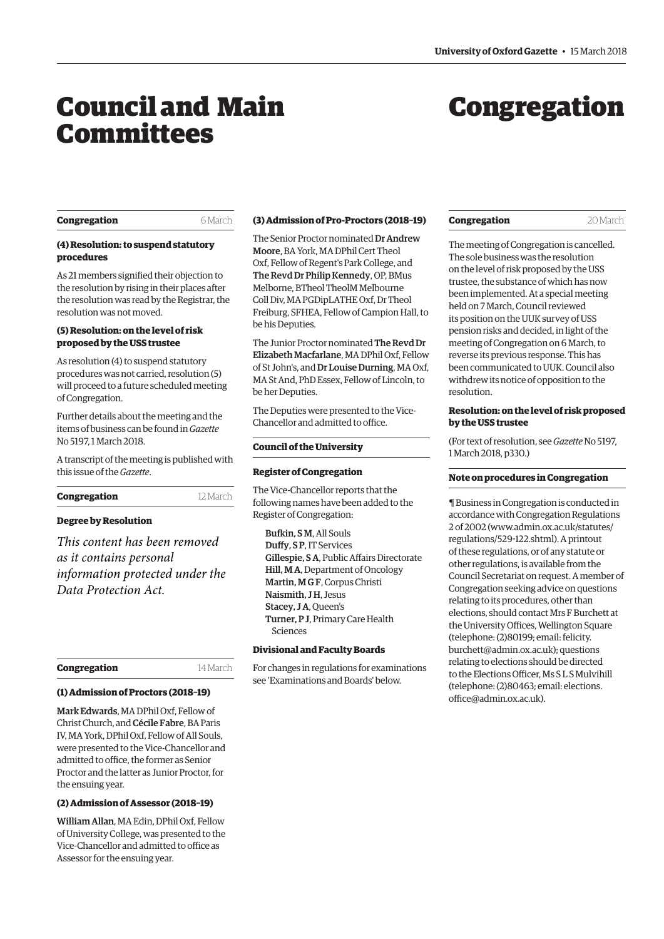## <span id="page-1-0"></span>Council and Main **Committees**

## Congregation

#### **Congregation** 6 March

#### **(4) Resolution: to suspend statutory procedures**

As 21 members signified their objection to the resolution by rising in their places after the resolution was read by the Registrar, the resolution was not moved.

#### **(5) Resolution: on the level of risk proposed by the USS trustee**

As resolution (4) to suspend statutory procedures was not carried, resolution (5) will proceed to a future scheduled meeting of Congregation.

Further details about the meeting and the [items of business can be found in](http://www.ox.ac.uk/gazette/2017-2018/1march2018-no5197/congregation/#266555) *Gazette* No 5197, 1 March 2018.

A transcript of the meeting is published with this issue of the *Gazette*.

#### **Congregation** 12 March

#### **Degree by Resolution**

*This content has been removed as it contains personal information protected under the Data Protection Act.*

#### **Congregation** 14 March

#### **(1) Admission of Proctors (2018–19)**

Mark Edwards, MA DPhil Oxf, Fellow of Christ Church, and Cécile Fabre, BA Paris IV, MA York, DPhil Oxf, Fellow of All Souls, were presented to the Vice-Chancellor and admitted to office, the former as Senior Proctor and the latter as Junior Proctor, for the ensuing year.

### **(2) Admission of Assessor (2018–19)**

William Allan, MA Edin, DPhil Oxf, Fellow of University College, was presented to the Vice-Chancellor and admitted to office as Assessor for the ensuing year.

#### **(3) Admission of Pro-Proctors (2018–19)**

The Senior Proctor nominated Dr Andrew Moore, BA York, MA DPhil Cert Theol Oxf, Fellow of Regent's Park College, and The Revd Dr Philip Kennedy, OP, BMus Melborne, BTheol TheolM Melbourne Coll Div, MA PGDipLATHE Oxf, Dr Theol Freiburg, SFHEA, Fellow of Campion Hall, to be his Deputies.

The Junior Proctor nominated The Revd Dr Elizabeth Macfarlane, MA DPhil Oxf, Fellow of St John's, and Dr Louise Durning, MA Oxf, MA St And, PhD Essex, Fellow of Lincoln, to be her Deputies.

The Deputies were presented to the Vice-Chancellor and admitted to office.

#### **Council of the University**

#### **Register of Congregation**

The Vice-Chancellor reports that the following names have been added to the Register of Congregation:

Bufkin, S M, All Souls Duffy, S P, IT Services Gillespie, S A, Public Affairs Directorate Hill, M A, Department of Oncology Martin, M G F, Corpus Christi Naismith, J H, Jesus Stacey, J A, Queen's Turner, P J, Primary Care Health Sciences

#### **Divisional and Faculty Boards**

For changes in regulations for examinations see 'Examinations and Boards' below.

#### **Congregation** 20 March

The meeting of Congregation is cancelled. The sole business was the resolution on the level of risk proposed by the USS trustee, the substance of which has now been implemented. At a special meeting held on 7 March, Council reviewed its position on the UUK survey of USS pension risks and decided, in light of the meeting of Congregation on 6 March, to reverse its previous response. This has been communicated to UUK. Council also withdrew its notice of opposition to the resolution.

#### **Resolution: on the level of risk proposed by the USS trustee**

[\(For text of resolution, see](http://www.ox.ac.uk/gazette/2017-2018/1march2018-no5197/congregation/#266555) *Gazette* No 5197, 1 March 2018, p330.)

#### **Note on procedures in Congregation**

¶ Business in Congregation is conducted in accordance with Congregation Regulations 2 of 2002 [\(www.admin.ox.ac.uk/statutes/](http://www.admin.ox.ac.uk/statutes/regulations/529-122.shtml) [regulations/529-122.shtml\). A p](http://www.admin.ox.ac.uk/statutes/regulations/529-122.shtml)rintout of these regulations, or of any statute or other regulations, is available from the Council Secretariat on request. A member of Congregation seeking advice on questions relating to its procedures, other than elections, should contact Mrs F Burchett at the University Offices, Wellington Square (telephone: (2)80199; email: felicity. [burchett@admin.ox.ac.uk\); questions](mailto:felicity.burchett@admin.ox.ac.uk)  relating to elections should be directed to the Elections Officer, Ms S L S Mulvihill [\(telephone: \(2\)80463; email: elections.](mailto:elections.office@admin.ox.ac.uk) office@admin.ox.ac.uk).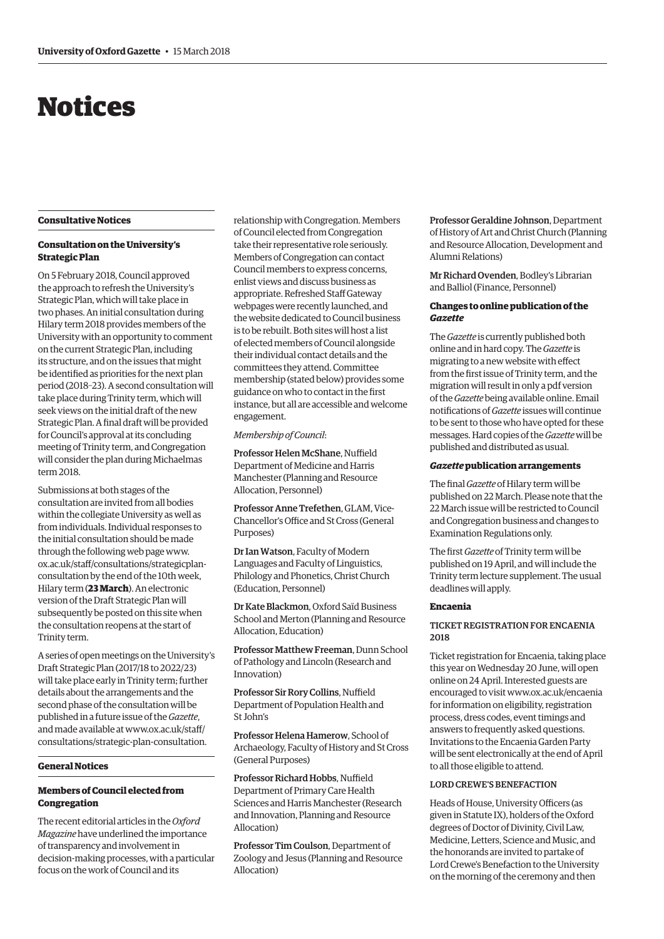## <span id="page-2-0"></span>Notices

#### **Consultative Notices**

#### **Consultation on the University's Strategic Plan**

On 5 February 2018, Council approved the approach to refresh the University's Strategic Plan, which will take place in two phases. An initial consultation during Hilary term 2018 provides members of the University with an opportunity to comment on the current Strategic Plan, including its structure, and on the issues that might be identified as priorities for the next plan period (2018–23). A second consultation will take place during Trinity term, which will seek views on the initial draft of the new Strategic Plan. A final draft will be provided for Council's approval at its concluding meeting of Trinity term, and Congregation will consider the plan during Michaelmas term 2018.

Submissions at both stages of the consultation are invited from all bodies within the collegiate University as well as from individuals. Individual responses to the initial consultation should be made through the following web page www. [ox.ac.uk/staff/consultations/strategicplan](www.ox.ac.uk/staff/consultations/strategicplan-consultation)consultation by the end of the 10th week, Hilary term (**23 March**). An electronic version of the Draft Strategic Plan will subsequently be posted on this site when the consultation reopens at the start of Trinity term.

A series of open meetings on the University's Draft Strategic Plan (2017/18 to 2022/23) will take place early in Trinity term; further details about the arrangements and the second phase of the consultation will be published in a future issue of the *Gazette*, and made available at www.ox.ac.uk/staff/ [consultations/strategic-plan-consultation.](www.ox.ac.uk/staff/consultations/strategic-plan-consultation)

#### **General Notices**

#### **Members of Council elected from Congregation**

The recent editorial articles in the *Oxford Magazine* have underlined the importance of transparency and involvement in decision-making processes, with a particular focus on the work of Council and its

relationship with Congregation. Members of Council elected from Congregation take their representative role seriously. Members of Congregation can contact Council members to express concerns, enlist views and discuss business as appropriate. Refreshed Staff Gateway webpages were recently launched, and the website dedicated to Council business is to be rebuilt. Both sites will host a list of elected members of Council alongside their individual contact details and the committees they attend. Committee membership (stated below) provides some guidance on who to contact in the first instance, but all are accessible and welcome engagement.

*Membership of Council*:

Professor Helen McShane, Nuffield Department of Medicine and Harris Manchester (Planning and Resource Allocation, Personnel)

Professor Anne Trefethen, GLAM, Vice-Chancellor's Office and St Cross (General Purposes)

Dr Ian Watson, Faculty of Modern Languages and Faculty of Linguistics, Philology and Phonetics, Christ Church (Education, Personnel)

Dr Kate Blackmon, Oxford Saïd Business School and Merton (Planning and Resource Allocation, Education)

Professor Matthew Freeman, Dunn School of Pathology and Lincoln (Research and Innovation)

Professor Sir Rory Collins, Nuffield Department of Population Health and St John's

Professor Helena Hamerow, School of Archaeology, Faculty of History and St Cross (General Purposes)

Professor Richard Hobbs, Nuffield Department of Primary Care Health Sciences and Harris Manchester (Research and Innovation, Planning and Resource Allocation)

Professor Tim Coulson, Department of Zoology and Jesus (Planning and Resource Allocation)

Professor Geraldine Johnson, Department of History of Art and Christ Church (Planning and Resource Allocation, Development and Alumni Relations)

Mr Richard Ovenden, Bodley's Librarian and Balliol (Finance, Personnel)

#### **Changes to online publication of the**  *Gazette*

The *Gazette* is currently published both online and in hard copy. The *Gazette* is migrating to a new website with effect from the first issue of Trinity term, and the migration will result in only a pdf version of the *Gazette* being available online. Email notifications of *Gazette* issues will continue to be sent to those who have opted for these messages. Hard copies of the *Gazette* will be published and distributed as usual.

#### *Gazette* **publication arrangements**

The final *Gazette* of Hilary term will be published on 22 March. Please note that the 22 March issue will be restricted to Council and Congregation business and changes to Examination Regulations only.

The first *Gazette* of Trinity term will be published on 19 April, and will include the Trinity term lecture supplement. The usual deadlines will apply.

#### **Encaenia**

#### TICKET REGISTRATION FOR ENCAENIA  $2018$

Ticket registration for Encaenia, taking place this year on Wednesday 20 June, will open online on 24 April. Interested guests are encouraged to visit [www.ox.ac.uk/encaenia](http://www.ox.ac.uk/encaenia)  for information on eligibility, registration process, dress codes, event timings and answers to frequently asked questions. Invitations to the Encaenia Garden Party will be sent electronically at the end of April to all those eligible to attend.

#### LORD CREWE'S BENEFACTION

Heads of House, University Officers (as given in Statute IX), holders of the Oxford degrees of Doctor of Divinity, Civil Law, Medicine, Letters, Science and Music, and the honorands are invited to partake of Lord Crewe's Benefaction to the University on the morning of the ceremony and then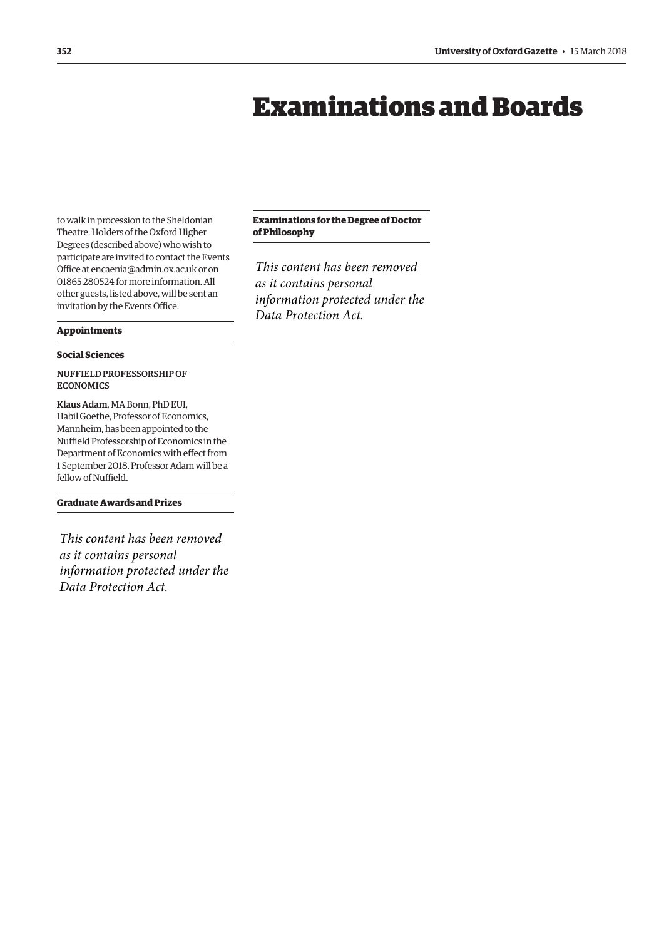## Examinations and Boards

<span id="page-3-0"></span>to walk in procession to the Sheldonian Theatre. Holders of the Oxford Higher Degrees (described above) who wish to participate are invited to contact the Events Office at [encaenia@admin.ox.ac.uk or](mailto:encaenia@admin.ox.ac.uk) on 01865 280524 for more information. All other guests, listed above, will be sent an invitation by the Events Office.

#### **Appointments**

#### **Social Sciences**

#### NUFFIELD PROFESSORSHIP OF ECONOMICS

Klaus Adam, MA Bonn, PhD EUI, Habil Goethe, Professor of Economics, Mannheim, has been appointed to the Nuffield Professorship of Economics in the Department of Economics with effect from 1 September 2018. Professor Adam will be a fellow of Nuffield.

#### **Graduate Awards and Prizes**

*This content has been removed as it contains personal information protected under the Data Protection Act.*

#### **Examinations for the Degree of Doctor of Philosophy**

*This content has been removed as it contains personal information protected under the Data Protection Act.*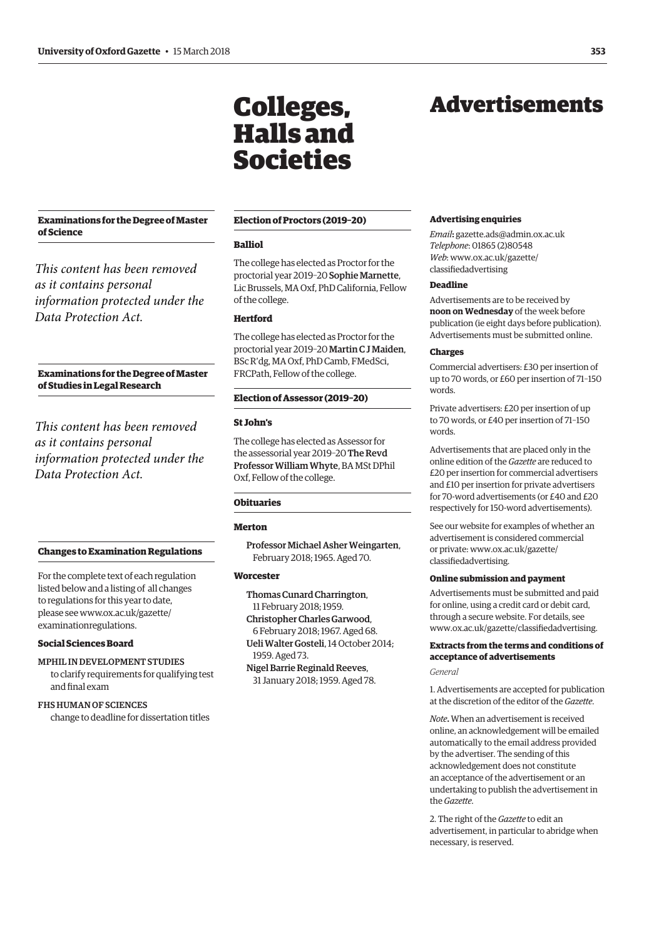#### <span id="page-4-0"></span>**Examinations for the Degree of Master of Science**

*This content has been removed as it contains personal information protected under the Data Protection Act.*

#### **Examinations for the Degree of Master of Studies in Legal Research**

*This content has been removed as it contains personal information protected under the Data Protection Act.*

#### **Changes to Examination Regulations**

For the complete text of each regulation listed below and a listing of all changes to regulations for this year to date, [please see www.ox.ac.uk/gazette/](www.ox.ac.uk/gazette/examinationregulations) examinationregulations.

#### **Social Sciences Board**

MPHIL IN DEVELOPMENT STUDIES to clarify requirements for qualifying test and final exam

#### FHS HUMAN OF SCIENCES

change to deadline for dissertation titles

#### **Election of Proctors (2019–20)**

Colleges,

Halls and

Societies

#### **Balliol**

The college has elected as Proctor for the proctorial year 2019–20 Sophie Marnette, Lic Brussels, MA Oxf, PhD California, Fellow of the college.

#### **Hertford**

The college has elected as Proctor for the proctorial year 2019–20 Martin C J Maiden, BSc R'dg, MA Oxf, PhD Camb, FMedSci, FRCPath, Fellow of the college.

#### **Election of Assessor (2019–20)**

#### **St John's**

The college has elected as Assessor for the assessorial year 2019–20 The Revd Professor William Whyte, BA MSt DPhil Oxf, Fellow of the college.

#### **Obituaries**

#### **Merton**

Professor Michael Asher Weingarten, February 2018; 1965. Aged 70.

#### **Worcester**

- Thomas Cunard Charrington, 11 February 2018; 1959. Christopher Charles Garwood, 6 February 2018; 1967. Aged 68. Ueli Walter Gosteli, 14 October 2014;
- 1959. Aged 73. Nigel Barrie Reginald Reeves,
- 31 January 2018; 1959. Aged 78.

## Advertisements

#### **Advertising enquiries**

*Email***:** [gazette.ads@admin.ox.ac.uk](mailto:gazette.ads@admin.ox.ac.uk)  *Telephone*: 01865 (2)80548 *Web*[: www.ox.ac.uk/gazette/](www.ox.ac.uk/gazette/classifiedadvertising) classifiedadvertising

#### **Deadline**

Advertisements are to be received by **noon on Wednesday** of the week before publication (ie eight days before publication). Advertisements must be submitted online.

#### **Charges**

Commercial advertisers: £30 per insertion of up to 70 words, or £60 per insertion of 71–150 words.

Private advertisers: £20 per insertion of up to 70 words, or £40 per insertion of 71–150 words.

Advertisements that are placed only in the online edition of the *Gazette* are reduced to £20 per insertion for commercial advertisers and £10 per insertion for private advertisers for 70-word advertisements (or £40 and £20 respectively for 150-word advertisements).

See our website for examples of whether an advertisement is considered commercial [or private: www.ox.ac.uk/gazette/](www.ox.ac.uk/gazette/classifiedadvertising) classifiedadvertising.

#### **Online submission and payment**

Advertisements must be submitted and paid for online, using a credit card or debit card, through a secure website. For details, see [www.ox.ac.uk/gazette/classifiedadvertising.](http://www.ox.ac.uk/gazette/classifiedadvertising)

#### **Extracts from the terms and conditions of acceptance of advertisements**

*General*

1. Advertisements are accepted for publication at the discretion of the editor of the *Gazette*.

*Note***.** When an advertisement is received online, an acknowledgement will be emailed automatically to the email address provided by the advertiser. The sending of this acknowledgement does not constitute an acceptance of the advertisement or an undertaking to publish the advertisement in the *Gazette*.

2. The right of the *Gazette* to edit an advertisement, in particular to abridge when necessary, is reserved.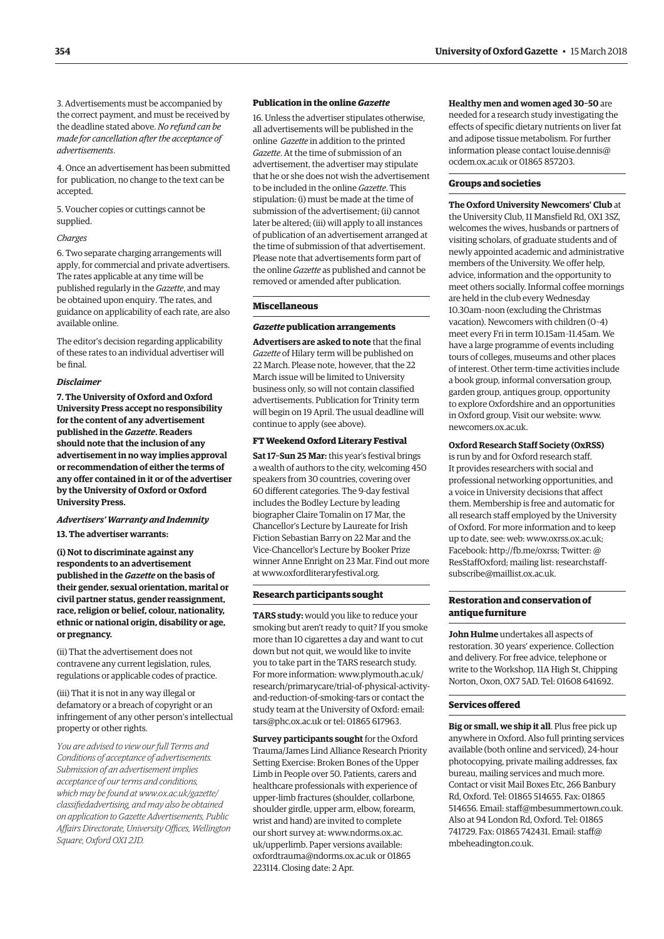3. Advertisements must be accompanied by the correct payment, and must be received by the deadline stated above. *No refund can be made for cancellation after the acceptance of advertisements*.

4. Once an advertisement has been submitted for publication, no change to the text can be accepted.

5. Voucher copies or cuttings cannot be supplied.

#### *Charges*

6. Two separate charging arrangements will apply, for commercial and private advertisers. The rates applicable at any time will be published regularly in the *Gazette*, and may be obtained upon enquiry. The rates, and guidance on applicability of each rate, are also available online.

The editor's decision regarding applicability of these rates to an individual advertiser will be final.

#### *Disclaimer*

**7. The University of Oxford and Oxford University Press accept no responsibility for the content of any adver tisement published in the** *Gazette***. Readers should note that the inclusion of any advertisement in no way implies approval or recommendation of either the terms of any offer contained in it or of the advertiser by the University of Oxford or Oxford University Press.**

#### *Advertisers' Warranty and Indemnity*

**13. The advertiser warrants:**

**(i) Not to discriminate against any respondents to an advertisement published in the** *Gazette* **on the basis of their gender, sexual orientation, marital or civil partner status, gender reassignment, race, religion or belief, colour, nationality, ethnic or national origin, disability or age, or pregnancy.**

(ii) That the advertisement does not contravene any current legislation, rules, regulations or applicable codes of practice.

(iii) That it is not in any way illegal or defamatory or a breach of copyright or an infringement of any other person's intellectual property or other rights.

*You are advised to view our full Terms and Conditions of acceptance of advertisements. Submission of an advertisement implies acceptance of our terms and conditions, which may be found at www.ox.ac.uk/gazette/ [classifiedadvertising, and may also be obtained](www.ox.ac.uk/gazette/classifiedadvertising)  on application to Gazette Advertisements, Public Affairs Directorate, University Offices, Wellington Square, Oxford OX1 2JD.*

#### **Publication in the online** *Gazette*

16. Unless the advertiser stipulates otherwise, all advertisements will be published in the online *Gazette* in addition to the printed *Gazette*. At the time of submission of an advertisement, the advertiser may stipulate that he or she does not wish the advertisement to be included in the online *Gazette*. This stipulation: (i) must be made at the time of submission of the advertisement; (ii) cannot later be altered; (iii) will apply to all instances of publication of an advertisement arranged at the time of submission of that advertisement. Please note that advertisements form part of the online *Gazette* as published and cannot be removed or amended after publication.

#### **Miscellaneous**

#### *Gazette* **publication arrangements**

**Advertisers are asked to note** that the final *Gazette* of Hilary term will be published on 22 March. Please note, however, that the 22 March issue will be limited to University business only, so will not contain classified advertisements. Publication for Trinity term will begin on 19 April. The usual deadline will continue to apply (see above).

#### **FT Weekend Oxford Literary Festival**

**Sat 17–Sun 25 Mar:** this year's festival brings a wealth of authors to the city, welcoming 450 speakers from 30 countries, covering over 60 different categories. The 9-day festival includes the Bodley Lecture by leading biographer Claire Tomalin on 17 Mar, the Chancellor's Lecture by Laureate for Irish Fiction Sebastian Barry on 22 Mar and the Vice-Chancellor's Lecture by Booker Prize winner Anne Enright on 23 Mar. Find out more at [www.oxfordliteraryfestival.org.](http://www.oxfordliteraryfestival.org) 

#### **Research participants sought**

**TARS study:** would you like to reduce your smoking but aren't ready to quit? If you smoke more than 10 cigarettes a day and want to cut down but not quit, we would like to invite you to take part in the TARS research study. For more information: www.plymouth.ac.uk/ [research/primarycare/trial-of-physical-activity](www.plymouth.ac.uk/research/primarycare/trial-of-physical-activity-and-reduction-of-smoking-tars)and-reduction-of-smoking-tars or contact the study team at the University of Oxford: email: [tars@phc.ox.ac.uk or](mailto:tars@phc.ox.ac.uk) tel: 01865 617963.

**Survey participants sought** for the Oxford Trauma/James Lind Alliance Research Priority Setting Exercise: Broken Bones of the Upper Limb in People over 50. Patients, carers and healthcare professionals with experience of upper-limb fractures (shoulder, collarbone, shoulder girdle, upper arm, elbow, forearm, wrist and hand) are invited to complete [our short survey at: www.ndorms.ox.ac.](www.ndorms.ox.ac.uk/upperlimb) uk/upperlimb. Paper versions available: [oxfordtrauma@ndorms.ox.ac.uk or](mailto:oxfordtrauma@ndorms.ox.ac.uk) 01865 223114. Closing date: 2 Apr.

**Healthy men and women aged 30–50** are needed for a research study investigating the effects of specific dietary nutrients on liver fat and adipose tissue metabolism. For further [information please contact louise.dennis@](mailto:louise.dennis@ocdem.ox.ac.uk) ocdem.ox.ac.uk or 01865 857203.

#### **Groups and societies**

**The Oxford University Newcomers' Club** at the University Club, 11 Mansfield Rd, OX1 3SZ, welcomes the wives, husbands or partners of visiting scholars, of graduate students and of newly appointed academic and administrative members of the University. We offer help, advice, information and the opportunity to meet others socially. Informal coffee mornings are held in the club every Wednesday 10.30am–noon (excluding the Christmas vacation). Newcomers with children (0–4) meet every Fri in term 10.15am–11.45am. We have a large programme of events including tours of colleges, museums and other places of interest. Other term-time activities include a book group, informal conversation group, garden group, antiques group, opportunity to explore Oxfordshire and an opportunities in Oxford group. Visit our website: [www.](http://www.newcomers.ox.ac.uk) [newcomers.ox.ac.uk.](http://www.newcomers.ox.ac.uk)

#### **Oxford Research Staff Society (OxRSS)**

is run by and for Oxford research staff. It provides researchers with social and professional networking opportunities, and a voice in University decisions that affect them. Membership is free and automatic for all research staff employed by the University of Oxford. For more information and to keep up to date, see: web: [www.oxrss.ox.ac.uk;](http://www.oxrss.ox.ac.uk)  Facebook: [http://fb.me/oxrss; Tw](http://fb.me/oxrss)itter: @ [ResStaffOxford; mailing list: researchstaff](mailto:researchstaff-subscribe@maillist.ox.ac.uk)subscribe@maillist.ox.ac.uk.

#### **Restoration and conservation of antique furniture**

**John Hulme** undertakes all aspects of restoration. 30 years' experience. Collection and delivery. For free advice, telephone or write to the Workshop, 11A High St, Chipping Norton, Oxon, OX7 5AD. Tel: 01608 641692.

#### **Services offered**

**Big or small, we ship it all**. Plus free pick up anywhere in Oxford. Also full printing services available (both online and serviced), 24-hour photocopying, private mailing addresses, fax bureau, mailing services and much more. Contact or visit Mail Boxes Etc, 266 Banbury Rd, Oxford. Tel: 01865 514655. Fax: 01865 514656. Email: [staff@mbesummertown.co.uk.](mailto:staff@mbesummertown.co.uk)  Also at 94 London Rd, Oxford. Tel: 01865 [741729. Fax: 01865 742431. Email: staff@](mailto:staff@mbeheadington.co.uk) mbeheadington.co.uk.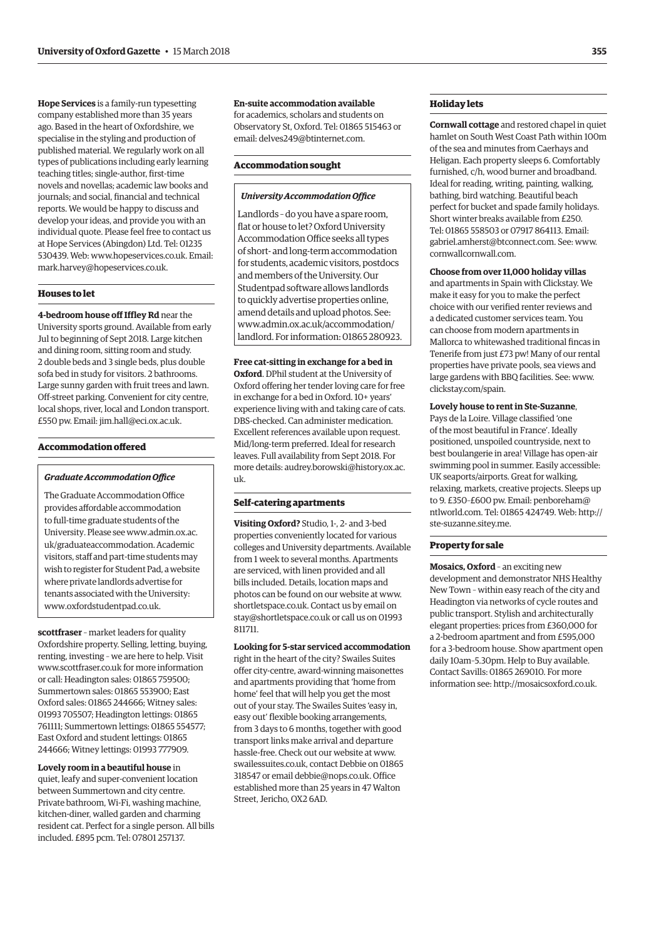**Hope Services** is a family-run typesetting company established more than 35 years ago. Based in the heart of Oxfordshire, we specialise in the styling and production of published material. We regularly work on all types of publications including early learning teaching titles; single-author, first-time novels and novellas; academic law books and journals; and social, financial and technical reports. We would be happy to discuss and develop your ideas, and provide you with an individual quote. Please feel free to contact us at Hope Services (Abingdon) Ltd. Tel: 01235 530439. Web: [www.hopeservices.co.uk. Em](http://www.hopeservices.co.uk)ail: [mark.harvey@hopeservices.co.uk.](mailto:mark.harvey@hopeservices.co.uk)

#### **Houses to let**

**4-bedroom house off Iffley Rd** near the University sports ground. Available from early Jul to beginning of Sept 2018. Large kitchen and dining room, sitting room and study. 2 double beds and 3 single beds, plus double sofa bed in study for visitors. 2 bathrooms. Large sunny garden with fruit trees and lawn. Off-street parking. Convenient for city centre, local shops, river, local and London transport. £550 pw. Email: [jim.hall@eci.ox.ac.uk.](mailto:jim.hall@eci.ox.ac.uk)

#### **Accommodation offered**

#### *Graduate Accommodation Office*

The Graduate Accommodation Office provides affordable accommodation to full-time graduate students of the [University. Please see www.admin.ox.ac.](www.admin.ox.ac.uk/graduateaccommodation) uk/graduateaccommodation. Academic visitors, staff and part-time students may wish to register for Student Pad, a website where private landlords advertise for tenants associated with the University: [www.oxfordstudentpad.co.uk.](http://www.oxfordstudentpad.co.uk)

**scottfraser** – market leaders for quality Oxfordshire property. Selling, letting, buying, renting, investing – we are here to help. Visit [www.scottfraser.co.uk fo](http://www.scottfraser.co.uk)r more information or call: Headington sales: 01865 759500; Summertown sales: 01865 553900; East Oxford sales: 01865 244666; Witney sales: 01993 705507; Headington lettings: 01865 761111; Summertown lettings: 01865 554577; East Oxford and student lettings: 01865 244666; Witney lettings: 01993 777909.

**Lovely room in a beautiful house** in quiet, leafy and super-convenient location between Summertown and city centre. Private bathroom, Wi-Fi, washing machine, kitchen-diner, walled garden and charming resident cat. Perfect for a single person. All bills included. £895 pcm. Tel: 07801 257137.

#### **En-suite accommodation available**

for academics, scholars and students on Observatory St, Oxford. Tel: 01865 515463 or email: [delves249@btinternet.com.](mailto:delves249@btinternet.com)

#### **Accommodation sought**

#### *University Accommodation Office*

Landlords – do you have a spare room, flat or house to let? Oxford University Accommodation Office seeks all types of short- and long-term accommodation for students, academic visitors, postdocs and members of the University. Our Studentpad software allows landlords to quickly advertise properties online, amend details and upload photos. See: www.admin.ox.ac.uk/accommodation/ [landlord. For information: 01865 280923.](www.admin.ox.ac.uk/accommodation/landlord)

#### **Free cat-sitting in exchange for a bed in**

**Oxford**. DPhil student at the University of Oxford offering her tender loving care for free in exchange for a bed in Oxford. 10+ years' experience living with and taking care of cats. DBS-checked. Can administer medication. Excellent references available upon request. Mid/long-term preferred. Ideal for research leaves. Full availability from Sept 2018. For [more details: audrey.borowski@history.ox.ac.](mailto:audrey.borowski@history.ox.ac.uk) uk.

#### **Self-catering apartments**

**Visiting Oxford?** Studio, 1-, 2- and 3-bed properties conveniently located for various colleges and University departments. Available from 1 week to several months. Apartments are serviced, with linen provided and all bills included. Details, location maps and photos can be found on our website at [www.](http://www.shortletspace.co.uk) [shortletspace.co.uk. Co](http://www.shortletspace.co.uk)ntact us by email on [stay@shortletspace.co.uk or](mailto:stay@shortletspace.co.uk) call us on 01993 811711.

**Looking for 5-star serviced accommodation** right in the heart of the city? Swailes Suites offer city-centre, award-winning maisonettes and apartments providing that 'home from home' feel that will help you get the most out of your stay. The Swailes Suites 'easy in, easy out' flexible booking arrangements, from 3 days to 6 months, together with good transport links make arrival and departure hassle-free. Check out our website at [www.](http://www.swailessuites.co.uk) [swailessuites.co.uk, co](http://www.swailessuites.co.uk)ntact Debbie on 01865 318547 or email [debbie@nops.co.uk. Of](mailto:debbie@nops.co.uk)fice established more than 25 years in 47 Walton Street, Jericho, OX2 6AD.

#### **Holiday lets**

**Cornwall cottage** and restored chapel in quiet hamlet on South West Coast Path within 100m of the sea and minutes from Caerhays and Heligan. Each property sleeps 6. Comfortably furnished, c/h, wood burner and broadband. Ideal for reading, writing, painting, walking, bathing, bird watching. Beautiful beach perfect for bucket and spade family holidays. Short winter breaks available from £250. Tel: 01865 558503 or 07917 864113. Email: [gabriel.amherst@btconnect.com. Se](mailto:gabriel.amherst@btconnect.com)e: [www.](http://www.cornwallcornwall.com) [cornwallcornwall.com.](http://www.cornwallcornwall.com)

#### **Choose from over 11,000 holiday villas**

and apartments in Spain with Clickstay. We make it easy for you to make the perfect choice with our verified renter reviews and a dedicated customer services team. You can choose from modern apartments in Mallorca to whitewashed traditional fincas in Tenerife from just £73 pw! Many of our rental properties have private pools, sea views and large gardens with BBQ facilities. See: [www.](http://www.clickstay.com/spain) [clickstay.com/spain.](http://www.clickstay.com/spain)

#### **Lovely house to rent in Ste-Suzanne**,

Pays de la Loire. Village classified 'one of the most beautiful in France'. Ideally positioned, unspoiled countryside, next to best boulangerie in area! Village has open-air swimming pool in summer. Easily accessible: UK seaports/airports. Great for walking, relaxing, markets, creative projects. Sleeps up to 9. £350–£600 pw. Email: penboreham@ ntlworld.com. Tel: 01865 424749. Web: [http://](http://ste-suzanne.sitey.me) [ste-suzanne.sitey.me.](http://ste-suzanne.sitey.me)

#### **Property for sale**

**Mosaics, Oxford** – an exciting new development and demonstrator NHS Healthy New Town – within easy reach of the city and Headington via networks of cycle routes and public transport. Stylish and architecturally elegant properties: prices from £360,000 for a 2-bedroom apartment and from £595,000 for a 3-bedroom house. Show apartment open daily 10am–5.30pm. Help to Buy available. Contact Savills: 01865 269010. For more information see: [http://mosaicsoxford.co.uk.](http://mosaicsoxford.co.uk)